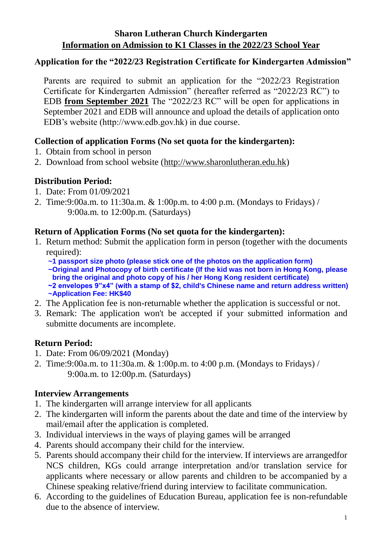# **Application for the "2022/23 Registration Certificate for Kindergarten Admission"**

Parents are required to submit an application for the "2022/23 Registration Certificate for Kindergarten Admission" (hereafter referred as "2022/23 RC") to EDB **from September 2021** The "2022/23 RC" will be open for applications in September 2021 and EDB will announce and upload the details of application onto EDB's website (http://www.edb.gov.hk) in due course.

# **Collection of application Forms (No set quota for the kindergarten):**

- 1. Obtain from school in person
- 2. Download from school website [\(http://www.sharonlutheran.edu.hk\)](http://www.sharonlutheran.edu.hk/)

# **Distribution Period:**

- 1. Date: From 01/09/2021
- 2. Time:9:00a.m. to 11:30a.m. & 1:00p.m. to 4:00 p.m. (Mondays to Fridays) / 9:00a.m. to 12:00p.m. (Saturdays)

## **Return of Application Forms (No set quota for the kindergarten):**

- 1. Return method: Submit the application form in person (together with the documents required):
	- **~1 passport size photo (please stick one of the photos on the application form)**
	- **~Original and Photocopy of birth certificate (If the kid was not born in Hong Kong, please bring the original and photo copy of his / her Hong Kong resident certificate)**
	- **~2 envelopes 9"x4" (with a stamp of \$2, child's Chinese name and return address written) ~Application Fee: HK\$40**
- 2. The Application fee is non-returnable whether the application is successful or not.
- 3. Remark: The application won't be accepted if your submitted information and submitte documents are incomplete.

## **Return Period:**

- 1. Date: From 06/09/2021 (Monday)
- 2. Time:9:00a.m. to 11:30a.m. & 1:00p.m. to 4:00 p.m. (Mondays to Fridays) / 9:00a.m. to 12:00p.m. (Saturdays)

## **Interview Arrangements**

- 1. The kindergarten will arrange interview for all applicants
- 2. The kindergarten will inform the parents about the date and time of the interview by mail/email after the application is completed.
- 3. Individual interviews in the ways of playing games will be arranged
- 4. Parents should accompany their child for the interview.
- 5. Parents should accompany their child for the interview. If interviews are arrangedfor NCS children, KGs could arrange interpretation and/or translation service for applicants where necessary or allow parents and children to be accompanied by a Chinese speaking relative/friend during interview to facilitate communication.
- 6. According to the guidelines of Education Bureau, application fee is non-refundable due to the absence of interview.